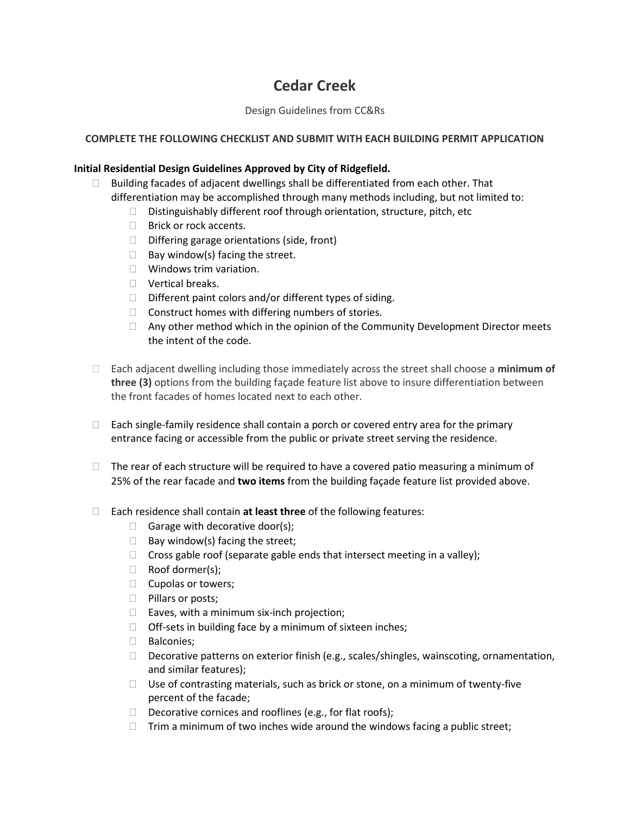# **Cedar Creek**

## Design Guidelines from CC&Rs

# **COMPLETE THE FOLLOWING CHECKLIST AND SUBMIT WITH EACH BUILDING PERMIT APPLICATION**

## **Initial Residential Design Guidelines Approved by City of Ridgefield.**

- $\Box$  Building facades of adjacent dwellings shall be differentiated from each other. That differentiation may be accomplished through many methods including, but not limited to:
	- $\Box$  Distinguishably different roof through orientation, structure, pitch, etc
	- □ Brick or rock accents.
	- $\Box$  Differing garage orientations (side, front)
	- $\Box$  Bay window(s) facing the street.
	- □ Windows trim variation.
	- **D** Vertical breaks.
	- $\Box$  Different paint colors and/or different types of siding.
	- $\Box$  Construct homes with differing numbers of stories.
	- $\Box$  Any other method which in the opinion of the Community Development Director meets the intent of the code.
- Each adjacent dwelling including those immediately across the street shall choose a **minimum of three (3)** options from the building façade feature list above to insure differentiation between the front facades of homes located next to each other.
- $\Box$  Each single-family residence shall contain a porch or covered entry area for the primary entrance facing or accessible from the public or private street serving the residence.
- $\Box$  The rear of each structure will be required to have a covered patio measuring a minimum of 25% of the rear facade and **two items** from the building façade feature list provided above.
- Each residence shall contain **at least three** of the following features:
	- Garage with decorative door(s);
	- $\Box$  Bay window(s) facing the street;
	- $\Box$  Cross gable roof (separate gable ends that intersect meeting in a valley);
	- □ Roof dormer(s);
	- $\Box$  Cupolas or towers;
	- $\Box$  Pillars or posts;
	- $\Box$  Eaves, with a minimum six-inch projection;
	- $\Box$  Off-sets in building face by a minimum of sixteen inches;
	- D Balconies:
	- Decorative patterns on exterior finish (e.g., scales/shingles, wainscoting, ornamentation, and similar features);
	- $\Box$  Use of contrasting materials, such as brick or stone, on a minimum of twenty-five percent of the facade;
	- Decorative cornices and rooflines (e.g., for flat roofs);
	- $\Box$  Trim a minimum of two inches wide around the windows facing a public street;